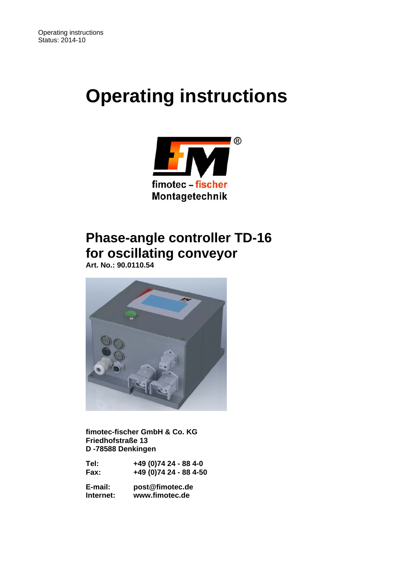# **Operating instructions**



# **Phase-angle controller TD-16 for oscillating conveyor**

 **Art. No.: 90.0110.54** 



 **fimotec-fischer GmbH & Co. KG Friedhofstraße 13 D -78588 Denkingen** 

| Tel: | +49 (0)74 24 - 88 4-0  |
|------|------------------------|
| Fax: | +49 (0)74 24 - 88 4-50 |

 **E-mail: post@fimotec.de Internet: www.fimotec.de**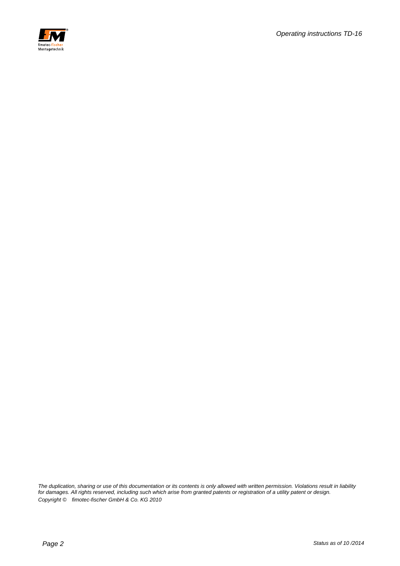

*The duplication, sharing or use of this documentation or its contents is only allowed with written permission. Violations result in liability for damages. All rights reserved, including such which arise from granted patents or registration of a utility patent or design. Copyright © fimotec-fischer GmbH & Co. KG 2010*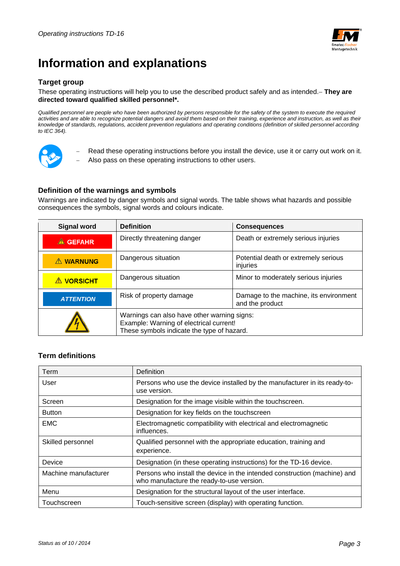

# **Information and explanations**

#### **Target group**

#### These operating instructions will help you to use the described product safely and as intended. **They are directed toward qualified skilled personnel\*.**

*Qualified personnel are people who have been authorized by persons responsible for the safety of the system to execute the required*  activities and are able to recognize potential dangers and avoid them based on their training, experience and instruction, as well as their *knowledge of standards, regulations, accident prevention regulations and operating conditions (definition of skilled personnel according to IEC 364).* 



- Read these operating instructions before you install the device, use it or carry out work on it.
- Also pass on these operating instructions to other users.

#### **Definition of the warnings and symbols**

Warnings are indicated by danger symbols and signal words. The table shows what hazards and possible consequences the symbols, signal words and colours indicate.

| <b>Signal word</b> | <b>Definition</b>                                                                                                                    | <b>Consequences</b>                                       |  |
|--------------------|--------------------------------------------------------------------------------------------------------------------------------------|-----------------------------------------------------------|--|
| $\triangle$ GEFAHR | Directly threatening danger                                                                                                          | Death or extremely serious injuries                       |  |
| A WARNUNG          | Dangerous situation                                                                                                                  | Potential death or extremely serious<br>injuries          |  |
| <b>A VORSICHT</b>  | Dangerous situation                                                                                                                  | Minor to moderately serious injuries                      |  |
| <b>ATTENTION</b>   | Risk of property damage                                                                                                              | Damage to the machine, its environment<br>and the product |  |
|                    | Warnings can also have other warning signs:<br>Example: Warning of electrical current!<br>These symbols indicate the type of hazard. |                                                           |  |

#### **Term definitions**

| Term                 | <b>Definition</b>                                                                                                      |  |
|----------------------|------------------------------------------------------------------------------------------------------------------------|--|
| User                 | Persons who use the device installed by the manufacturer in its ready-to-<br>use version.                              |  |
| Screen               | Designation for the image visible within the touchscreen.                                                              |  |
| <b>Button</b>        | Designation for key fields on the touchscreen                                                                          |  |
| <b>EMC</b>           | Electromagnetic compatibility with electrical and electromagnetic<br>influences.                                       |  |
| Skilled personnel    | Qualified personnel with the appropriate education, training and<br>experience.                                        |  |
| Device               | Designation (in these operating instructions) for the TD-16 device.                                                    |  |
| Machine manufacturer | Persons who install the device in the intended construction (machine) and<br>who manufacture the ready-to-use version. |  |
| Menu                 | Designation for the structural layout of the user interface.                                                           |  |
| Touchscreen          | Touch-sensitive screen (display) with operating function.                                                              |  |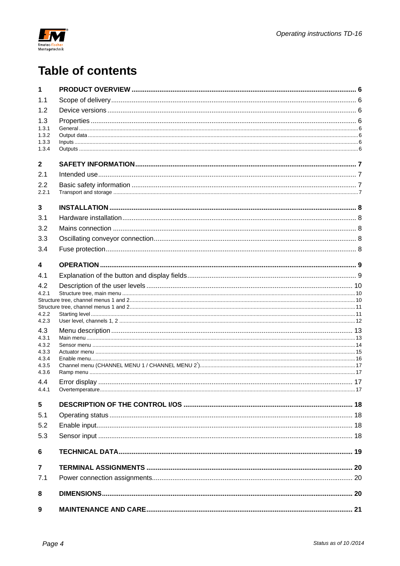

# **Table of contents**

| 1              |  |  |  |
|----------------|--|--|--|
| 1.1            |  |  |  |
| 1.2            |  |  |  |
| 1.3            |  |  |  |
| 1.3.1          |  |  |  |
| 1.3.2<br>1.3.3 |  |  |  |
| 1.3.4          |  |  |  |
| $\mathbf{2}$   |  |  |  |
| 2.1            |  |  |  |
| 2.2            |  |  |  |
| 2.2.1          |  |  |  |
| 3              |  |  |  |
| 3.1            |  |  |  |
| 3.2            |  |  |  |
| 3.3            |  |  |  |
| 3.4            |  |  |  |
| 4              |  |  |  |
| 4.1            |  |  |  |
| 4.2            |  |  |  |
| 4.2.1          |  |  |  |
|                |  |  |  |
| 4.2.2          |  |  |  |
| 4.2.3          |  |  |  |
| 4.3<br>4.3.1   |  |  |  |
| 4.3.2          |  |  |  |
| 4.3.3          |  |  |  |
| 4.3.4<br>4.3.5 |  |  |  |
| 4.3.6          |  |  |  |
| 4.4            |  |  |  |
| 4.4.1          |  |  |  |
| 5              |  |  |  |
| 5.1            |  |  |  |
| 5.2            |  |  |  |
| 5.3            |  |  |  |
| 6              |  |  |  |
| $\overline{7}$ |  |  |  |
| 7.1            |  |  |  |
| 8              |  |  |  |
| 9              |  |  |  |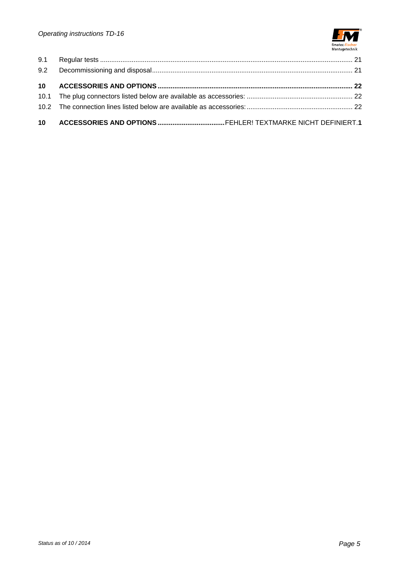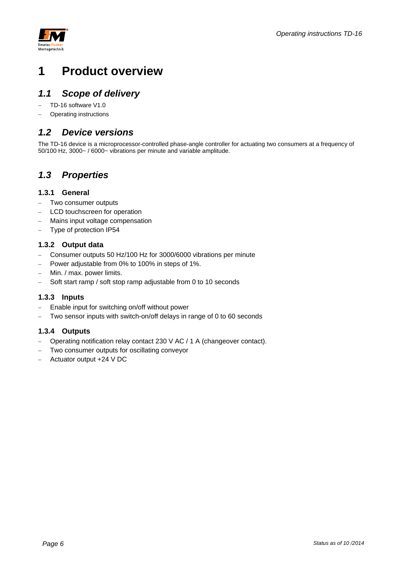



# **1 Product overview**

### *1.1 Scope of delivery*

- TD-16 software V1.0
- Operating instructions

### *1.2 Device versions*

The TD-16 device is a microprocessor-controlled phase-angle controller for actuating two consumers at a frequency of 50/100 Hz, 3000~ / 6000~ vibrations per minute and variable amplitude.

### *1.3 Properties*

#### **1.3.1 General**

- Two consumer outputs
- LCD touchscreen for operation
- Mains input voltage compensation
- Type of protection IP54

#### **1.3.2 Output data**

- Consumer outputs 50 Hz/100 Hz for 3000/6000 vibrations per minute
- Power adjustable from 0% to 100% in steps of 1%.
- Min. / max. power limits.
- Soft start ramp / soft stop ramp adjustable from 0 to 10 seconds

#### **1.3.3 Inputs**

- Enable input for switching on/off without power
- Two sensor inputs with switch-on/off delays in range of 0 to 60 seconds

#### **1.3.4 Outputs**

- Operating notification relay contact 230 V AC / 1 A (changeover contact).
- Two consumer outputs for oscillating conveyor
- Actuator output +24 V DC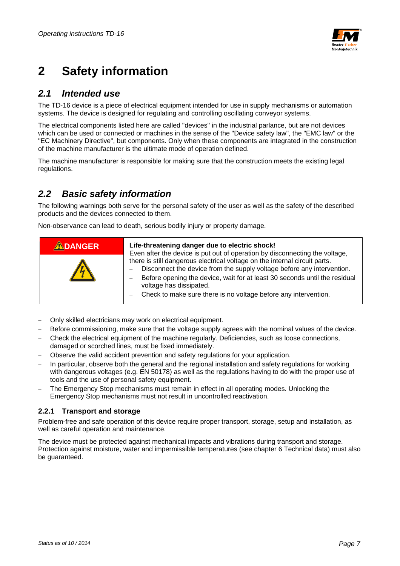

# **2 Safety information**

### *2.1 Intended use*

The TD-16 device is a piece of electrical equipment intended for use in supply mechanisms or automation systems. The device is designed for regulating and controlling oscillating conveyor systems.

The electrical components listed here are called "devices" in the industrial parlance, but are not devices which can be used or connected or machines in the sense of the "Device safety law", the "EMC law" or the "EC Machinery Directive", but components. Only when these components are integrated in the construction of the machine manufacturer is the ultimate mode of operation defined.

The machine manufacturer is responsible for making sure that the construction meets the existing legal regulations.

### *2.2 Basic safety information*

The following warnings both serve for the personal safety of the user as well as the safety of the described products and the devices connected to them.

Non-observance can lead to death, serious bodily injury or property damage.

| <b>ADANGER</b> | Life-threatening danger due to electric shock!<br>Even after the device is put out of operation by disconnecting the voltage,                                                                                                                                                                                                         |  |
|----------------|---------------------------------------------------------------------------------------------------------------------------------------------------------------------------------------------------------------------------------------------------------------------------------------------------------------------------------------|--|
|                | there is still dangerous electrical voltage on the internal circuit parts.<br>Disconnect the device from the supply voltage before any intervention.<br>—<br>Before opening the device, wait for at least 30 seconds until the residual<br>voltage has dissipated.<br>Check to make sure there is no voltage before any intervention. |  |

- Only skilled electricians may work on electrical equipment.
- Before commissioning, make sure that the voltage supply agrees with the nominal values of the device.
- Check the electrical equipment of the machine regularly. Deficiencies, such as loose connections, damaged or scorched lines, must be fixed immediately.
- Observe the valid accident prevention and safety regulations for your application.
- In particular, observe both the general and the regional installation and safety regulations for working with dangerous voltages (e.g. EN 50178) as well as the regulations having to do with the proper use of tools and the use of personal safety equipment.
- The Emergency Stop mechanisms must remain in effect in all operating modes. Unlocking the Emergency Stop mechanisms must not result in uncontrolled reactivation.

#### **2.2.1 Transport and storage**

Problem-free and safe operation of this device require proper transport, storage, setup and installation, as well as careful operation and maintenance.

The device must be protected against mechanical impacts and vibrations during transport and storage. Protection against moisture, water and impermissible temperatures (see chapter 6 Technical data) must also be guaranteed.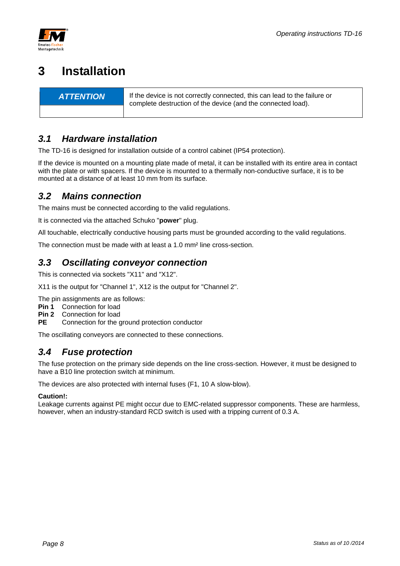



# **3 Installation**

**ATTENTION** If the device is not correctly connected, this can lead to the failure or complete destruction of the device (and the connected load).

## *3.1 Hardware installation*

The TD-16 is designed for installation outside of a control cabinet (IP54 protection).

If the device is mounted on a mounting plate made of metal, it can be installed with its entire area in contact with the plate or with spacers. If the device is mounted to a thermally non-conductive surface, it is to be mounted at a distance of at least 10 mm from its surface.

### *3.2 Mains connection*

The mains must be connected according to the valid regulations.

It is connected via the attached Schuko "**power**" plug.

All touchable, electrically conductive housing parts must be grounded according to the valid regulations.

The connection must be made with at least a 1.0 mm² line cross-section.

### *3.3 Oscillating conveyor connection*

This is connected via sockets "X11" and "X12".

X11 is the output for "Channel 1", X12 is the output for "Channel 2".

The pin assignments are as follows:

- **Pin 1** Connection for load
- **Pin 2** Connection for load
- Connection for the ground protection conductor

The oscillating conveyors are connected to these connections.

### *3.4 Fuse protection*

The fuse protection on the primary side depends on the line cross-section. However, it must be designed to have a B10 line protection switch at minimum.

The devices are also protected with internal fuses (F1, 10 A slow-blow).

#### **Caution!:**

Leakage currents against PE might occur due to EMC-related suppressor components. These are harmless, however, when an industry-standard RCD switch is used with a tripping current of 0.3 A.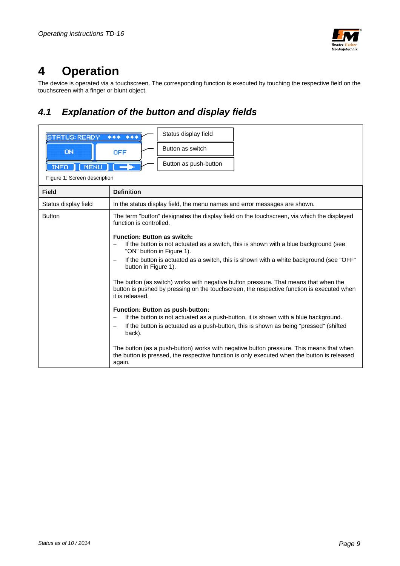

# **4 Operation**

The device is operated via a touchscreen. The corresponding function is executed by touching the respective field on the touchscreen with a finger or blunt object.

# *4.1 Explanation of the button and display fields*

| <b>TATUS: READY</b>          | Status display field<br>$***++$                                                                                                                                                                                                                                             |  |  |
|------------------------------|-----------------------------------------------------------------------------------------------------------------------------------------------------------------------------------------------------------------------------------------------------------------------------|--|--|
| <b>ON</b>                    | Button as switch<br><b>OFF</b>                                                                                                                                                                                                                                              |  |  |
| MENU<br><b>INFO</b>          | Button as push-button                                                                                                                                                                                                                                                       |  |  |
| Figure 1: Screen description |                                                                                                                                                                                                                                                                             |  |  |
| <b>Field</b>                 | <b>Definition</b>                                                                                                                                                                                                                                                           |  |  |
| Status display field         | In the status display field, the menu names and error messages are shown.                                                                                                                                                                                                   |  |  |
| <b>Button</b>                | The term "button" designates the display field on the touchscreen, via which the displayed<br>function is controlled.                                                                                                                                                       |  |  |
|                              | <b>Function: Button as switch:</b><br>If the button is not actuated as a switch, this is shown with a blue background (see<br>$\overline{\phantom{0}}$<br>"ON" button in Figure 1).                                                                                         |  |  |
|                              | If the button is actuated as a switch, this is shown with a white background (see "OFF"<br>$\overline{\phantom{0}}$<br>button in Figure 1).                                                                                                                                 |  |  |
|                              | The button (as switch) works with negative button pressure. That means that when the<br>button is pushed by pressing on the touchscreen, the respective function is executed when<br>it is released.                                                                        |  |  |
|                              | Function: Button as push-button:<br>If the button is not actuated as a push-button, it is shown with a blue background.<br>$\qquad \qquad -$<br>If the button is actuated as a push-button, this is shown as being "pressed" (shifted<br>$\overline{\phantom{m}}$<br>back). |  |  |
|                              | The button (as a push-button) works with negative button pressure. This means that when<br>the button is pressed, the respective function is only executed when the button is released<br>again.                                                                            |  |  |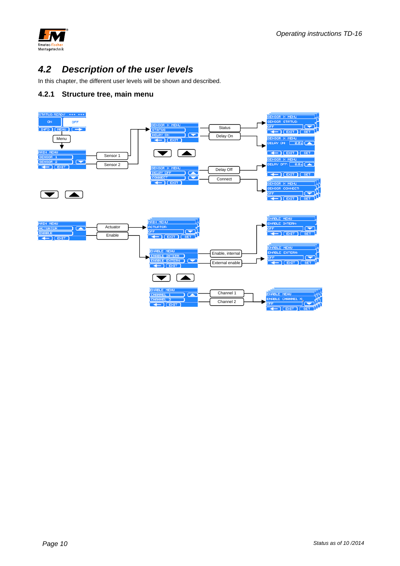

# *4.2 Description of the user levels*

In this chapter, the different user levels will be shown and described.

#### **4.2.1 Structure tree, main menu**

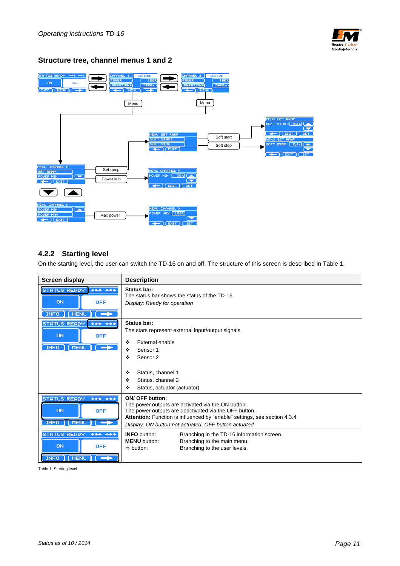

#### **Structure tree, channel menus 1 and 2**



#### **4.2.2 Starting level**

On the starting level, the user can switch the TD-16 on and off. The structure of this screen is described in Table 1.

| Screen display                                                                              | <b>Description</b>                                                                                                                                                                                                                                                         |  |  |
|---------------------------------------------------------------------------------------------|----------------------------------------------------------------------------------------------------------------------------------------------------------------------------------------------------------------------------------------------------------------------------|--|--|
| <b>STATUS: READY</b><br>$+ + + +$<br><b>ON</b><br><b>OFF</b><br>INFO   (MENU )              | Status bar:<br>The status bar shows the status of the TD-16.<br>Display: Ready for operation                                                                                                                                                                               |  |  |
| STATUS: READY<br>$+ + + +$<br><b>ON</b><br><b>OFF</b><br>INFO (MENU)                        | Status bar:<br>The stars represent external input/output signals.<br>External enable<br>❖<br>❖<br>Sensor 1<br>❖<br>Sensor <sub>2</sub><br>Status, channel 1<br>❖<br>Status, channel 2<br>❖<br>❖<br>Status, actuator (actuator)                                             |  |  |
| STATUS: READY<br>$******$<br>ON<br><b>OFF</b><br>INFO II<br>MENL                            | <b>ON/ OFF button:</b><br>The power outputs are activated via the ON button.<br>The power outputs are deactivated via the OFF button.<br>Attention: Function is influenced by "enable" settings, see section 4.3.4<br>Display: ON button not actuated, OFF button actuated |  |  |
| <b>STATUS: READY</b><br>$***$<br>$+ + +$<br>ON<br><b>OFF</b><br>[MENU]<br>INFO <sub>1</sub> | <b>INFO</b> button:<br>Branching in the TD-16 information screen.<br><b>MENU</b> button:<br>Branching to the main menu.<br>Branching to the user levels.<br>$\Rightarrow$ button:                                                                                          |  |  |

Table 1: Starting level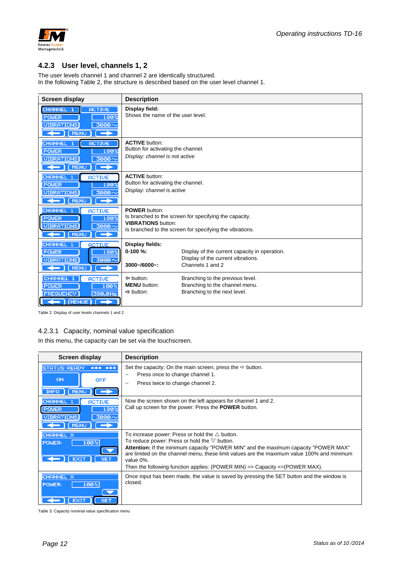

#### **4.2.3 User level, channels 1, 2**

The user levels channel 1 and channel 2 are identically structured. In the following Table 2, the structure is described based on the user level channel 1.

| <b>Screen display</b>                                                                                                                        | <b>Description</b>                                                                                                                                                              |  |  |
|----------------------------------------------------------------------------------------------------------------------------------------------|---------------------------------------------------------------------------------------------------------------------------------------------------------------------------------|--|--|
| CHANNEL 1<br><b>ACTIVE</b><br>100%<br><b>POWER</b><br>UIBRATIONS<br>3000~<br>$\leftarrow$<br>[MENU<br>$\rightarrow$                          | Display field:<br>Shows the name of the user level.                                                                                                                             |  |  |
| CHANNEL 1<br><b>ACTIVE</b><br><b>POWER</b><br>100%<br><b>UIBRATIONS</b><br>3000~<br>$\leftarrow$ ) (MENU<br>$\rightarrow$                    | <b>ACTIVE button:</b><br>Button for activating the channel.<br>Display: channel is not active                                                                                   |  |  |
| <b>CHANNEL 1</b><br><b>ACTIVE</b><br><b>POWER</b><br>100 <sub>2</sub><br>3000~<br>(VIBRATIONS)<br>$ \sqrt{$ MENU<br>$\Box$                   | <b>ACTIVE button:</b><br>Button for activating the channel.<br>Display: channel is active                                                                                       |  |  |
| CHANNEL 1<br><b>ACTIVE</b><br>100%<br>POWER <sup></sup><br>UIBRATIONS<br>3000~<br>[MENU<br>$\leftarrow$ 1<br>$\rightarrow$                   | <b>POWER button:</b><br>Is branched to the screen for specifying the capacity.<br><b>VIBRATIONS button:</b><br>Is branched to the screen for specifying the vibrations.         |  |  |
| <b>CHANNEL 1</b><br><b>ACTIVE</b><br>100%<br><b>POWER</b><br><b>UIBRATIONS</b><br>3000 ^<br>$\leftarrow$ (MENU)<br><b>The Contract State</b> | Display fields:<br>$0-100%$<br>Display of the current capacity in operation.<br>Display of the current vibrations.<br>Channels 1 and 2<br>3000~/6000~:                          |  |  |
| CHANNEL 1<br><b>ACTIVE</b><br>POWER<br>100%<br><b>FREQUENCY</b><br>300,0Hz<br>$\rightarrow$                                                  | $\Leftrightarrow$ button:<br>Branching to the previous level.<br><b>MENU</b> button:<br>Branching to the channel menu.<br>Branching to the next level.<br>$\Rightarrow$ button: |  |  |

Table 2: Display of user levels channels 1 and 2

#### 4.2.3.1 Capacity, nominal value specification

In this menu, the capacity can be set via the touchscreen.

| <b>Screen display</b>                                                                                                                                         | <b>Description</b>                                                                                                                                                                                                                                                                                                                                                                                                      |  |  |
|---------------------------------------------------------------------------------------------------------------------------------------------------------------|-------------------------------------------------------------------------------------------------------------------------------------------------------------------------------------------------------------------------------------------------------------------------------------------------------------------------------------------------------------------------------------------------------------------------|--|--|
| <b>STATUS: READY</b><br>$\begin{array}{cccccccccc} \bullet & \bullet & \bullet & \bullet & \bullet \end{array}$<br>$+ + +$<br>ON<br><b>OFF</b><br>INFO   MENU | Set the capacity: On the main screen, press the $\Rightarrow$ button.<br>Press once to change channel 1.<br>$\overline{\phantom{0}}$<br>Press twice to change channel 2.                                                                                                                                                                                                                                                |  |  |
| <b>CHANNEL</b><br><b>ACTIVE</b><br>100%<br><b>POWER</b><br>3000 $\sim$<br><b>UIBRATIONS</b><br>I (MENU)                                                       | Now the screen shown on the left appears for channel 1 and 2.<br>Call up screen for the power: Press the <b>POWER</b> button.                                                                                                                                                                                                                                                                                           |  |  |
| CHANNEL X<br>100%<br>POWER:<br><b>SET</b><br><b>EXIT</b>                                                                                                      | To increase power: Press or hold the $\triangle$ button.<br>To reduce power: Press or hold the $\nabla$ button.<br><b>Attention:</b> If the minimum capacity "POWER MIN" and the maximum capacity "POWER MAX"<br>are limited on the channel menu, these limit values are the maximum value 100% and minimum<br>value 0%.<br>Then the following function applies: (POWER MIN) $\Rightarrow$ Capacity $\leq$ (POWER MAX). |  |  |
| CHANNEL X<br>100%<br>POWER:<br><b>SET</b><br><b>EXIT</b>                                                                                                      | Once input has been made, the value is saved by pressing the SET button and the window is<br>closed.                                                                                                                                                                                                                                                                                                                    |  |  |

Table 3: Capacity nominal value specification menu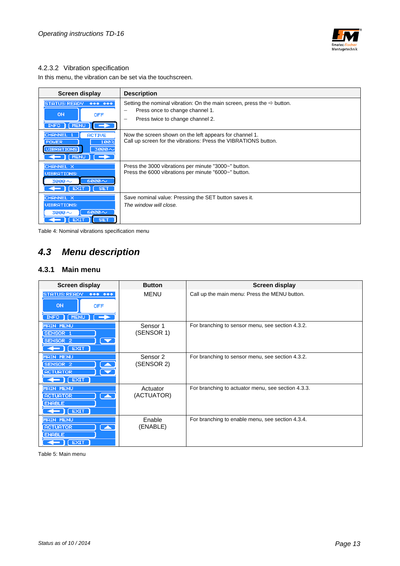

#### 4.2.3.2 Vibration specification

In this menu, the vibration can be set via the touchscreen.

| <b>Screen display</b>                                                                                                                  | <b>Description</b>                                                                                                                                        |  |  |
|----------------------------------------------------------------------------------------------------------------------------------------|-----------------------------------------------------------------------------------------------------------------------------------------------------------|--|--|
| <b>STATUS: READY</b><br>$******$<br>ON<br><b>OFF</b><br>INFO   MENU                                                                    | Setting the nominal vibration: On the main screen, press the $\Rightarrow$ button.<br>Press once to change channel 1.<br>Press twice to change channel 2. |  |  |
| <b>CHANNEL</b><br><b>ACTIVE</b><br>100%<br><b>POWER</b><br><b>UIBRATIONS</b><br>$3000 \sim$<br>$\leftarrow$ ) ( MENU ) ( $\rightarrow$ | Now the screen shown on the left appears for channel 1.<br>Call up screen for the vibrations: Press the VIBRATIONS button.                                |  |  |
| CHANNEL X<br><b>UIBRATIONS:</b><br>$6000 \sim$<br>$3000 \sim$<br><b>EXIT</b><br><b>SET</b>                                             | Press the 3000 vibrations per minute "3000~" button.<br>Press the 6000 vibrations per minute "6000~" button.                                              |  |  |
| CHANNEL X<br><b>UIBRATIONS:</b><br>$6000 \sim$<br>$3000 \sim$<br><b>EXIT</b><br><b>SET</b>                                             | Save nominal value: Pressing the SET button saves it.<br>The window will close.                                                                           |  |  |

Table 4: Nominal vibrations specification menu

# *4.3 Menu description*

#### **4.3.1 Main menu**

| Screen display                                                                                                       | <b>Button</b>                     | Screen display                                     |
|----------------------------------------------------------------------------------------------------------------------|-----------------------------------|----------------------------------------------------|
| <b>STATUS: READY</b><br>$+ + + + +$<br><b>ON</b><br><b>OFF</b><br>$INFO$ $(MENU)$ $\rightarrow$                      | <b>MENU</b>                       | Call up the main menu: Press the MENU button.      |
| <b>MAIN MENU</b><br>SENSOR <sub>1</sub><br>SENSOR <sub>2</sub><br>$\blacktriangledown$<br>$\leftarrow$ $\left($ EXIT | Sensor 1<br>(SENSOR 1)            | For branching to sensor menu, see section 4.3.2.   |
| <b>MAIN MENU</b><br><b>SENSOR 2</b><br><b>ACTUATOR</b><br>$\leftarrow$ $\left($ EXIT                                 | Sensor <sub>2</sub><br>(SENSOR 2) | For branching to sensor menu, see section 4.3.2.   |
| <b>MAIN MENU</b><br>◚<br><b>ACTUATOR</b><br><b>ENABLE</b><br>$\leftarrow$ $\left($ EXIT                              | Actuator<br>(ACTUATOR)            | For branching to actuator menu, see section 4.3.3. |
| <b>MAIN MENU</b><br><b>ACTUATOR</b><br>▁<br><b>ENABLE</b><br>E XIT                                                   | Enable<br>(ENABLE)                | For branching to enable menu, see section 4.3.4.   |

Table 5: Main menu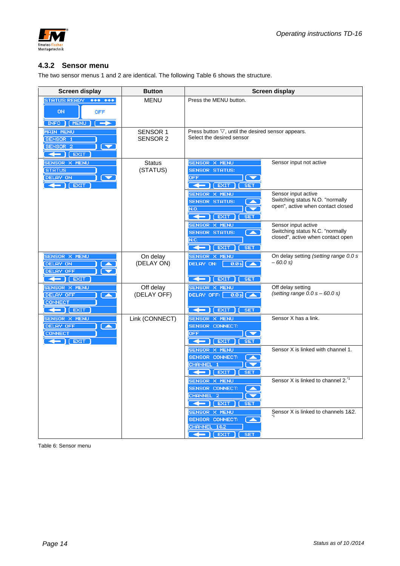



#### **4.3.2 Sensor menu**

The two sensor menus 1 and 2 are identical. The following Table 6 shows the structure.

| Screen display                                                                                                                                                                                                                                                                                                                                         | <b>Button</b>   | Screen display                                                                                |                                                                      |  |
|--------------------------------------------------------------------------------------------------------------------------------------------------------------------------------------------------------------------------------------------------------------------------------------------------------------------------------------------------------|-----------------|-----------------------------------------------------------------------------------------------|----------------------------------------------------------------------|--|
| STATUS: READY *** ***                                                                                                                                                                                                                                                                                                                                  | MENU            | Press the MENU button.                                                                        |                                                                      |  |
| ON<br><b>OFF</b>                                                                                                                                                                                                                                                                                                                                       |                 |                                                                                               |                                                                      |  |
| INFO   [MENU ]<br>$\rightarrow$                                                                                                                                                                                                                                                                                                                        |                 |                                                                                               |                                                                      |  |
| <b>MAIN MENU</b>                                                                                                                                                                                                                                                                                                                                       | <b>SENSOR 1</b> | Press button $\nabla$ , until the desired sensor appears.                                     |                                                                      |  |
| SENSOR 1                                                                                                                                                                                                                                                                                                                                               | SENSOR 2        | Select the desired sensor                                                                     |                                                                      |  |
| SENSOR <sub>2</sub><br>▼<br>$\leftarrow$ $\left  \right $ EXIT                                                                                                                                                                                                                                                                                         |                 |                                                                                               |                                                                      |  |
| SENSOR X MENU                                                                                                                                                                                                                                                                                                                                          | <b>Status</b>   | SENSOR X MENU                                                                                 | Sensor input not active                                              |  |
| <b>STATUS</b>                                                                                                                                                                                                                                                                                                                                          | (STATUS)        | <b>SENSOR STATUS:</b>                                                                         |                                                                      |  |
| DELAY ON<br>$\leftarrow$ ) ( EXIT                                                                                                                                                                                                                                                                                                                      |                 | <b>OFF</b><br>$ \left  \right $ [ EXIT ]<br>SET.                                              |                                                                      |  |
|                                                                                                                                                                                                                                                                                                                                                        |                 | <b>SENSOR X MENU</b>                                                                          | Sensor input active                                                  |  |
|                                                                                                                                                                                                                                                                                                                                                        |                 | <b>SENSOR STATUS:</b>                                                                         | Switching status N.O. "normally<br>open", active when contact closed |  |
|                                                                                                                                                                                                                                                                                                                                                        |                 | N.O.<br>$\leftarrow$ [ EXIT ]<br><b>SET</b>                                                   |                                                                      |  |
|                                                                                                                                                                                                                                                                                                                                                        |                 | <b>SENSOR X MENU</b>                                                                          | Sensor input active                                                  |  |
|                                                                                                                                                                                                                                                                                                                                                        |                 | <b>SENSOR STATUS:</b><br><b>TAN</b>                                                           | Switching status N.C. "normally<br>closed", active when contact open |  |
|                                                                                                                                                                                                                                                                                                                                                        |                 | N.C.<br>$\leftarrow$ $\left[$ EXIT $\right]$<br><b>SET</b>                                    |                                                                      |  |
| <b>SENSOR X MENU</b>                                                                                                                                                                                                                                                                                                                                   | On delay        | <b>SENSOR X MENU</b>                                                                          | On delay setting (setting range 0.0 s                                |  |
| DELAY ON<br><b>DELAY OFF</b>                                                                                                                                                                                                                                                                                                                           | (DELAY ON)      | $\begin{array}{ c c c }\n\hline\n\text{0.0 s} & \text{A} \\ \hline\n\end{array}$<br>DELAY ON: | $-60.0 s$                                                            |  |
| $\leftarrow$ $\left(\frac{E}{E} \right)$                                                                                                                                                                                                                                                                                                               |                 | $\leftarrow$   [ EXIT<br><b>SET</b>                                                           |                                                                      |  |
| <b>SENSOR X MENU</b>                                                                                                                                                                                                                                                                                                                                   | Off delay       | <b>SENSOR X MENU</b>                                                                          | Off delay setting                                                    |  |
| DELAY OFF<br>◚                                                                                                                                                                                                                                                                                                                                         | (DELAY OFF)     | DELAY OFF: $\begin{array}{ c c }\n\hline\n0.05 & \mline\n\end{array}$                         | (setting range $0.0 s - 60.0 s$ )                                    |  |
| <b>CONNECT</b><br>$\leftarrow$ [ EXIT                                                                                                                                                                                                                                                                                                                  |                 | $\leftarrow$ [ EXIT<br><b>SET</b>                                                             |                                                                      |  |
| <b>SENSOR X MENU</b>                                                                                                                                                                                                                                                                                                                                   | Link (CONNECT)  | SENSOR X MENU                                                                                 | Sensor X has a link.                                                 |  |
| DELAY OFF<br>Z<br><b>CONNECT</b>                                                                                                                                                                                                                                                                                                                       |                 | <b>SENSOR CONNECT:</b><br><b>OFF</b>                                                          |                                                                      |  |
| $ \left $ $\right $ $\left $ $\right $ $\left $ $\right $ $\left $ $\right $ $\left $ $\right $ $\left $ $\right $ $\left $ $\right $ $\left $ $\right $ $\left $ $\right $ $\left $ $\right $ $\left $ $\right $ $\left $ $\right $ $\left $ $\right $ $\left $ $\right $ $\left $ $\right $ $\left $ $\right $ $\left $ $\right $ $\left $ $\right $ |                 | $\leftarrow$ [ EXIT ]<br>SET                                                                  |                                                                      |  |
|                                                                                                                                                                                                                                                                                                                                                        |                 | <b>SENSOR X MENU</b>                                                                          | Sensor X is linked with channel 1.                                   |  |
|                                                                                                                                                                                                                                                                                                                                                        |                 | SENSOR CONNECT:<br><b>A</b>                                                                   |                                                                      |  |
|                                                                                                                                                                                                                                                                                                                                                        |                 | CHANNEL 1<br>$\leftarrow$ ) ( EXIT<br><b>SET</b>                                              |                                                                      |  |
|                                                                                                                                                                                                                                                                                                                                                        |                 | <b>SENSOR X MENU</b>                                                                          | Sensor X is linked to channel 2. <sup>1</sup>                        |  |
|                                                                                                                                                                                                                                                                                                                                                        |                 | <b>SENSOR CONNECT:</b><br><b>A</b>                                                            |                                                                      |  |
|                                                                                                                                                                                                                                                                                                                                                        |                 | CHANNEL <sub>2</sub><br>$\leftarrow$ [ EXIT ]<br><b>SET</b>                                   |                                                                      |  |
|                                                                                                                                                                                                                                                                                                                                                        |                 | SENSOR X MENU                                                                                 | Sensor X is linked to channels 1&2.                                  |  |
|                                                                                                                                                                                                                                                                                                                                                        |                 | SENSOR CONNECT:<br><b>SAN</b>                                                                 |                                                                      |  |
|                                                                                                                                                                                                                                                                                                                                                        |                 | CHANNEL 1&2<br>$\leftarrow$ $\left[$ [ EXIT $\right]$ [ SET                                   |                                                                      |  |

Table 6: Sensor menu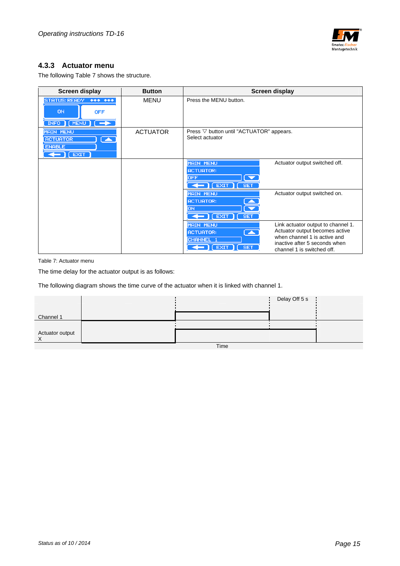

#### **4.3.3 Actuator menu**

The following Table 7 shows the structure.

| <b>Screen display</b>                                                                        | <b>Button</b>   | Screen display                                                                                                                                                                                                                                                            |  |
|----------------------------------------------------------------------------------------------|-----------------|---------------------------------------------------------------------------------------------------------------------------------------------------------------------------------------------------------------------------------------------------------------------------|--|
| <b>STATUS: READY</b><br>$******$<br><b>ON</b><br><b>OFF</b><br>$INFO$ $(MENU)$ $\rightarrow$ | <b>MENU</b>     | Press the MENU button.                                                                                                                                                                                                                                                    |  |
| <b>MAIN MENU</b><br><b>ACTUATOR</b><br>◚<br><b>ENABLE</b><br>$\leftarrow$ ) [ EXIT ]         | <b>ACTUATOR</b> | Press $\nabla$ button until "ACTUATOR" appears.<br>Select actuator                                                                                                                                                                                                        |  |
|                                                                                              |                 | <b>MAIN MENU</b><br>Actuator output switched off.<br><b>ACTUATOR:</b><br>$\overline{\phantom{a}}$<br><b>OFF</b><br>$\leftarrow$ [EXIT ]<br>$\sqrt{ST}$                                                                                                                    |  |
|                                                                                              |                 | <b>MAIN MENU</b><br>Actuator output switched on.<br><b>ACTUATOR:</b><br>OΝ<br>$\leftarrow$ $\left($ EXIT $\right)$ $\left($ SET                                                                                                                                           |  |
|                                                                                              |                 | <b>MAIN MENU</b><br>Link actuator output to channel 1.<br>Actuator output becomes active<br>$\blacktriangleright$<br><b>ACTUATOR:</b><br>when channel 1 is active and<br>CHANNEL 1<br>inactive after 5 seconds when<br>I EXIT<br><b>SET</b><br>channel 1 is switched off. |  |

Table 7: Actuator menu

The time delay for the actuator output is as follows:

The following diagram shows the time curve of the actuator when it is linked with channel 1.

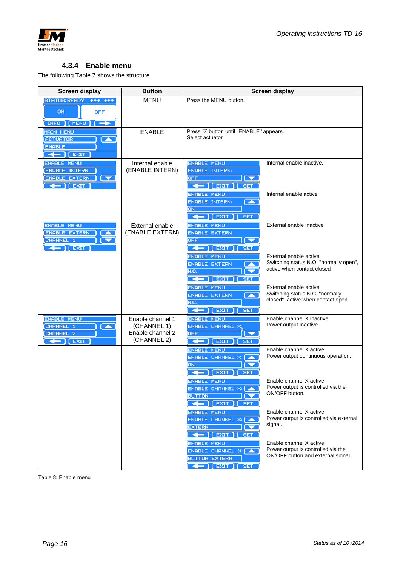

#### **4.3.4 Enable menu**

The following Table 7 shows the structure.

| <b>Screen display</b>                                                                                                              | <b>Button</b>                                                      | <b>Screen display</b>                                                                                                 |                                                                                                     |  |
|------------------------------------------------------------------------------------------------------------------------------------|--------------------------------------------------------------------|-----------------------------------------------------------------------------------------------------------------------|-----------------------------------------------------------------------------------------------------|--|
| STATUS: READY *** ***<br><b>ON</b><br><b>OFF</b><br><b>INFO</b>   MENU<br>$\rightarrow$                                            | <b>MENU</b>                                                        | Press the MENU button.                                                                                                |                                                                                                     |  |
| <b>MAIN MENU</b><br><b>ACTUATOR</b><br>$\blacktriangleright$<br><b>ENABLE</b><br>$\leftarrow$ $\left($ EXIT                        | <b>ENABLE</b>                                                      | Press $\nabla$ button until "ENABLE" appears.<br>Select actuator                                                      |                                                                                                     |  |
| <b>ENABLE MENU</b><br><b>ENABLE INTERN</b><br><b>ENABLE EXTERN</b><br>$\blacktriangledown$<br>$\leftarrow$ $\left  \right $ [ EXIT | Internal enable<br>(ENABLE INTERN)                                 | <b>ENABLE MENU</b><br><b>ENABLE INTERN:</b><br><b>OFF</b><br>$\leftarrow$ $\left(\sqrt{E X I T}\right)$<br><b>SET</b> | Internal enable inactive.                                                                           |  |
|                                                                                                                                    |                                                                    | <b>ENABLE MENU</b><br><b>ENABLE INTERN:</b><br>$\blacktriangle$<br>ON<br>$\leftarrow$ (EXIT)<br><b>SET</b>            | Internal enable active                                                                              |  |
| <b>ENABLE MENU</b><br>ENABLE EXTERN<br>CHANNEL 1<br>$\leftarrow$ $\left($ EXIT                                                     | External enable<br>(ENABLE EXTERN)                                 | <b>ENABLE MENU</b><br><b>ENABLE EXTERN:</b><br><b>OFF</b><br>▼<br>$\leftarrow$ [EXIT]<br><b>SET</b>                   | External enable inactive                                                                            |  |
|                                                                                                                                    |                                                                    | <b>ENABLE MENU</b><br><b>ENABLE EXTERN:</b><br>N.O.<br>$\leftarrow$ ] [ EXIT<br><b>SET</b>                            | External enable active<br>Switching status N.O. "normally open",<br>active when contact closed      |  |
|                                                                                                                                    |                                                                    | <b>ENABLE MENU</b><br><b>ENABLE EXTERN:</b><br>z<br>N.C.<br>$\leftarrow$ ) ( EXIT<br><b>SET</b>                       | External enable active<br>Switching status N.C. "normally<br>closed", active when contact open      |  |
| <b>ENABLE MENU</b><br>CHANNEL 1<br>A<br>CHANNEL 2<br>$\leftarrow$ $\left($ EXIT                                                    | Enable channel 1<br>(CHANNEL 1)<br>Enable channel 2<br>(CHANNEL 2) | <b>ENABLE MENU</b><br><b>ENABLE CHANNEL X:</b><br><b>OFF</b><br>$[$ EXIT $]$<br>╺╺<br><b>SET</b>                      | Enable channel X inactive<br>Power output inactive.                                                 |  |
|                                                                                                                                    |                                                                    | <b>ENABLE MENU</b><br>ENABLE CHANNEL X: (<br><b>Taxable</b><br>оN<br>$\leftarrow$ ) [ EXIT<br><b>SET</b>              | Enable channel X active<br>Power output continuous operation.                                       |  |
|                                                                                                                                    |                                                                    | <b>ENABLE MENU</b><br>ENABLE CHANNEL X: [A<br><b>BUTTON</b><br>$\leftarrow$ [EXIT]<br><b>SET</b>                      | Enable channel X active<br>Power output is controlled via the<br>ON/OFF button.                     |  |
|                                                                                                                                    |                                                                    | <b>ENABLE MENU</b><br>ENABLE CHANNEL X: A<br><b>EXTERN</b><br>$\leftarrow$ $\left($ EXIT<br>$\square$ SET             | Enable channel X active<br>Power output is controlled via external<br>signal.                       |  |
|                                                                                                                                    |                                                                    | <b>ENABLE MENU</b><br>ENABLE CHANNEL X: A<br><b>BUTTON EXTERN</b><br>$\leftarrow$ $\left[$ [ EXIT $\right]$ [ SET     | Enable channel X active<br>Power output is controlled via the<br>ON/OFF button and external signal. |  |

Table 8: Enable menu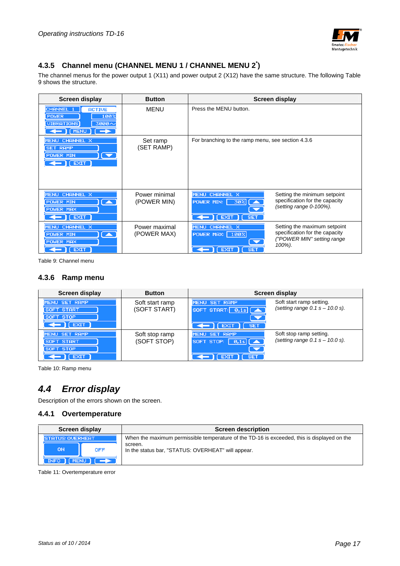

#### **4.3.5 Channel menu (CHANNEL MENU 1 / CHANNEL MENU 2\* )**

The channel menus for the power output 1 (X11) and power output 2 (X12) have the same structure. The following Table 9 shows the structure.

| <b>Screen display</b>                                                                                                        | <b>Button</b>                | Screen display                                                                                                                                       |                                                            |
|------------------------------------------------------------------------------------------------------------------------------|------------------------------|------------------------------------------------------------------------------------------------------------------------------------------------------|------------------------------------------------------------|
| CHANNEL 1<br><b>ACTIVE</b><br>100%<br>POWER<br>UIBRATIONS<br>$3000 -$<br>$\leftarrow$ $\left[\right]$ (MENU) $\left[\right]$ | <b>MENU</b>                  | Press the MENU button.                                                                                                                               |                                                            |
| MENU CHANNEL X<br><b>SET RAMP</b><br><b>POWER MIN</b><br>$\overline{\phantom{a}}$<br>$\Gamma$ (EXIT )                        | Set ramp<br>(SET RAMP)       | For branching to the ramp menu, see section 4.3.6                                                                                                    |                                                            |
| MENU CHANNEL X<br>$\overline{\phantom{a}}$<br><b>POWER MIN</b><br><b>POWER MAX</b><br>$\leftarrow$ [ EXIT ]                  | Power minimal<br>(POWER MIN) | MENU CHANNEL X<br>Setting the minimum setpoint<br>specification for the capacity<br>POWER MIN: 30% 4<br>(setting range 0-100%).<br>[EXIT]<br>$[$ SET |                                                            |
| MENU CHANNEL X<br>$\overline{\phantom{a}}$<br><b>POWER MIN</b><br><b>POWER MAX</b><br>EXIT.                                  | Power maximal<br>(POWER MAX) | <b>MENU CHANNEL X</b><br>specification for the capacity<br><b>POWER MAX: 100%</b><br>$\overline{\phantom{a}}$<br>100%).<br><b>SET</b><br><b>EXIT</b> | Setting the maximum setpoint<br>("POWER MIN" setting range |

Table 9: Channel menu

#### **4.3.6 Ramp menu**

| <b>Screen display</b>                    | <b>Button</b>   | Screen display                                                                                                          |  |  |
|------------------------------------------|-----------------|-------------------------------------------------------------------------------------------------------------------------|--|--|
| MENU SET RAMP                            | Soft start ramp | Soft start ramp setting.<br>MENU SET RAMP<br>(setting range $0.1 s - 10.0 s$ ).                                         |  |  |
| SOFT START<br>SOFT STOP                  | (SOFT START)    | SOFT START: 0,15 4                                                                                                      |  |  |
| I EXIT                                   |                 | <b>SET</b><br><b>EXIT</b>                                                                                               |  |  |
| MENU SET RAMP                            | Soft stop ramp  | Soft stop ramp setting.<br>MENU SET RAMP                                                                                |  |  |
| <b>START</b><br><b>SOFT</b><br>SOFT STOP | (SOFT STOP)     | (setting range $0.1 s - 10.0 s$ ).<br>SOFT STOP: $\begin{bmatrix} 0,1s \end{bmatrix}$ $\begin{bmatrix} 4 \end{bmatrix}$ |  |  |
| <b>EXIT</b>                              |                 | <b>SET</b>                                                                                                              |  |  |

Table 10: Ramp menu

# *4.4 Error display*

Description of the errors shown on the screen.

#### **4.4.1 Overtemperature**

| Screen display                                                                                                      | <b>Screen description</b>                                                                                                                                    |  |
|---------------------------------------------------------------------------------------------------------------------|--------------------------------------------------------------------------------------------------------------------------------------------------------------|--|
| <b>STATUS: OVERHEAT</b><br><b>ON</b><br><b>OFF</b><br>$[$ INFO $]$ $[$ MENU $]$ $[$ $\rightarrow$ $\rightarrow$ $]$ | When the maximum permissible temperature of the TD-16 is exceeded, this is displayed on the<br>screen.<br>In the status bar, "STATUS: OVERHEAT" will appear. |  |

Table 11: Overtemperature error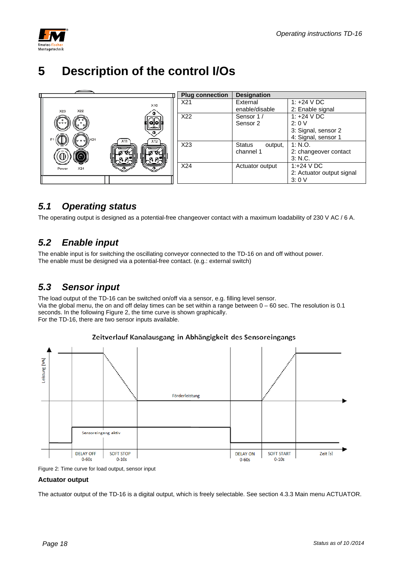

# **5 Description of the control I/Os**



# *5.1 Operating status*

The operating output is designed as a potential-free changeover contact with a maximum loadability of 230 V AC / 6 A.

### *5.2 Enable input*

The enable input is for switching the oscillating conveyor connected to the TD-16 on and off without power. The enable must be designed via a potential-free contact. (e.g.: external switch)

### *5.3 Sensor input*

The load output of the TD-16 can be switched on/off via a sensor, e.g. filling level sensor. Via the global menu, the on and off delay times can be set within a range between  $0 - 60$  sec. The resolution is 0.1 seconds. In the following Figure 2, the time curve is shown graphically. For the TD-16, there are two sensor inputs available.



#### Zeitverlauf Kanalausgang in Abhängigkeit des Sensoreingangs

Figure 2: Time curve for load output, sensor input

#### **Actuator output**

The actuator output of the TD-16 is a digital output, which is freely selectable. See section 4.3.3 Main menu ACTUATOR.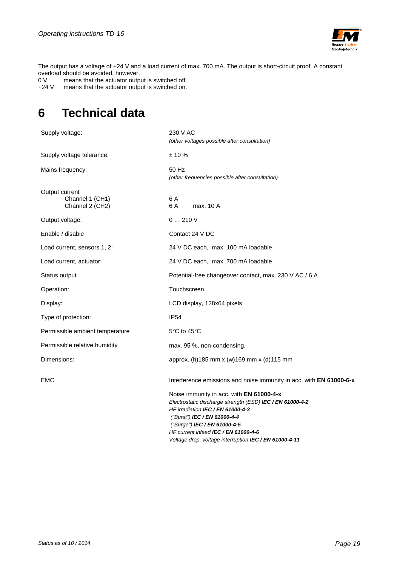

The output has a voltage of +24 V and a load current of max. 700 mA. The output is short-circuit proof. A constant overload should be avoided, however.<br>0 V means that the actuator outpl

0 V means that the actuator output is switched off. +24 V means that the actuator output is switched on.

# **6 Technical data**

| Supply voltage:                                      | 230 V AC                                                                                                                                                                                                                                                                                                                   |
|------------------------------------------------------|----------------------------------------------------------------------------------------------------------------------------------------------------------------------------------------------------------------------------------------------------------------------------------------------------------------------------|
|                                                      | (other voltages possible after consultation)                                                                                                                                                                                                                                                                               |
| Supply voltage tolerance:                            | $± 10 \%$                                                                                                                                                                                                                                                                                                                  |
| Mains frequency:                                     | 50 Hz<br>(other frequencies possible after consultation)                                                                                                                                                                                                                                                                   |
| Output current<br>Channel 1 (CH1)<br>Channel 2 (CH2) | 6 A<br>max. 10 A<br>6 A                                                                                                                                                                                                                                                                                                    |
| Output voltage:                                      | 0210V                                                                                                                                                                                                                                                                                                                      |
| Enable / disable                                     | Contact 24 V DC                                                                                                                                                                                                                                                                                                            |
| Load current, sensors 1, 2:                          | 24 V DC each, max. 100 mA loadable                                                                                                                                                                                                                                                                                         |
| Load current, actuator:                              | 24 V DC each, max. 700 mA loadable                                                                                                                                                                                                                                                                                         |
| Status output                                        | Potential-free changeover contact, max. 230 V AC / 6 A                                                                                                                                                                                                                                                                     |
| Operation:                                           | Touchscreen                                                                                                                                                                                                                                                                                                                |
| Display:                                             | LCD display, 128x64 pixels                                                                                                                                                                                                                                                                                                 |
| Type of protection:                                  | <b>IP54</b>                                                                                                                                                                                                                                                                                                                |
| Permissible ambient temperature                      | 5°C to 45°C                                                                                                                                                                                                                                                                                                                |
| Permissible relative humidity                        | max. 95 %, non-condensing.                                                                                                                                                                                                                                                                                                 |
| Dimensions:                                          | approx. (h) 185 mm x (w) 169 mm x (d) 115 mm                                                                                                                                                                                                                                                                               |
| EMC                                                  | Interference emissions and noise immunity in acc. with EN 61000-6-x                                                                                                                                                                                                                                                        |
|                                                      | Noise immunity in acc. with EN 61000-4-x<br>Electrostatic discharge strength (ESD) IEC / EN 61000-4-2<br>HF irradiation IEC / EN 61000-4-3<br>("Burst") IEC / EN 61000-4-4<br>("Surge") IEC / EN 61000-4-5<br>HF current infeed IEC / EN 61000-4-6<br>Voltage drop, voltage interruption <b>IEC</b> / <b>EN 61000-4-11</b> |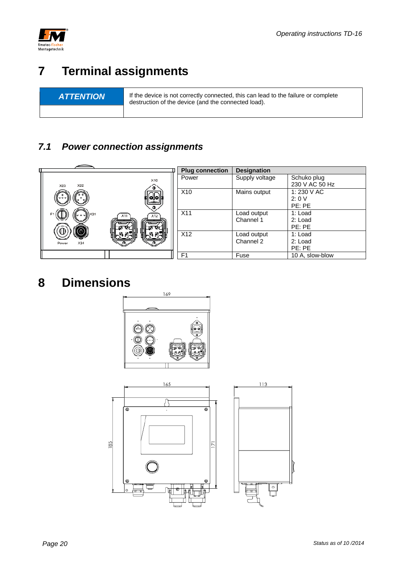

# **7 Terminal assignments**

**ATTENTION** If the device is not correctly connected, this can lead to the failure or complete destruction of the device (and the connected load).

# *7.1 Power connection assignments*



# **8 Dimensions**



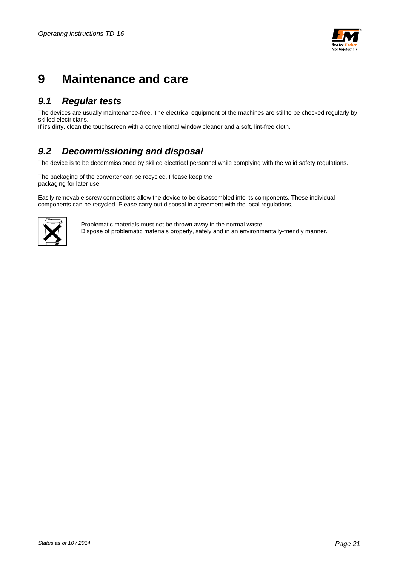

# **9 Maintenance and care**

### *9.1 Regular tests*

The devices are usually maintenance-free. The electrical equipment of the machines are still to be checked regularly by skilled electricians.

If it's dirty, clean the touchscreen with a conventional window cleaner and a soft, lint-free cloth.

### *9.2 Decommissioning and disposal*

The device is to be decommissioned by skilled electrical personnel while complying with the valid safety regulations.

The packaging of the converter can be recycled. Please keep the packaging for later use.

Easily removable screw connections allow the device to be disassembled into its components. These individual components can be recycled. Please carry out disposal in agreement with the local regulations.



Problematic materials must not be thrown away in the normal waste! Dispose of problematic materials properly, safely and in an environmentally-friendly manner.